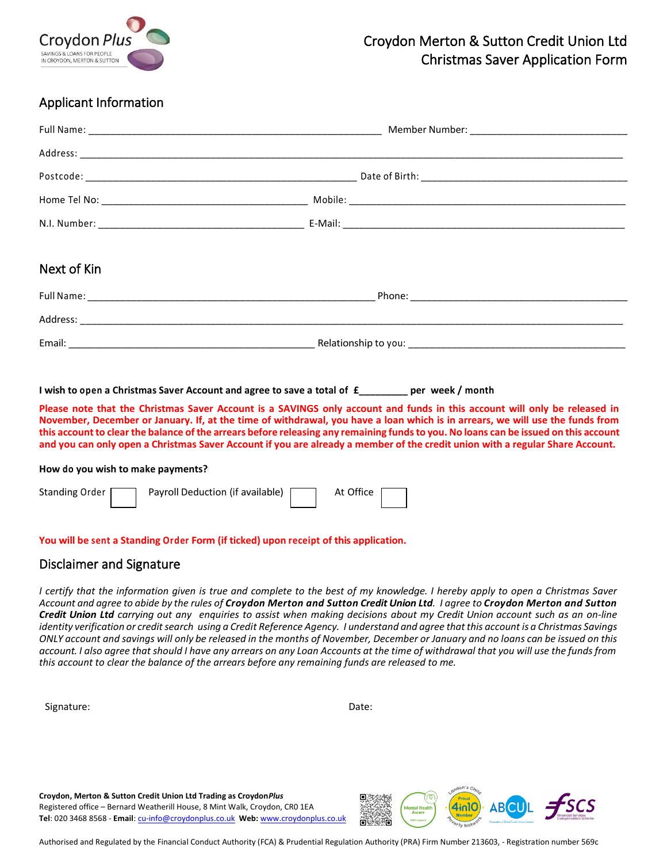

# Croydon Merton & Sutton Credit Union Ltd Christmas Saver Application Form

## Applicant Information

| Next of Kin |  |  |  |
|-------------|--|--|--|
|             |  |  |  |
|             |  |  |  |
|             |  |  |  |

#### **I wish to open a Christmas Saver Account and agree to save a total of £\_\_\_\_\_\_\_\_\_ per week / month**

**Please note that the Christmas Saver Account is a SAVINGS only account and funds in this account will only be released in November, December or January. If, at the time of withdrawal, you have a loan which is in arrears, we will use the funds from this account to clear the balance of the arrears before releasing any remaining funds to you. No loans can be issued on this account and you can only open a Christmas Saver Account if you are already a member of the credit union with a regular Share Account.**

#### **How do you wish to make payments?#**

| Standing Order | Payroll Deduction (if available) $\Box$ | At Office |  |
|----------------|-----------------------------------------|-----------|--|
|                |                                         |           |  |

#### **You will be sent a Standing Order Form (if ticked) upon receipt of this application.**

#### Disclaimer and Signature

I certify that the information given is true and complete to the best of my knowledge. I hereby apply to open a Christmas Saver Account and agree to abide by the rules of Croydon Merton and Sutton Credit Union Ltd. I agree to Croydon Merton and Sutton Credit Union Ltd carrying out any enquiries to assist when making decisions about my Credit Union account such as an on-line identity verification or credit search using a Credit Reference Agency. I understand and agree that this account is a Christmas Savings ONLY account and savings will only be released in the months of November, December or January and no loans can be issued on this *account. I also agree that should I have any arrears on any Loan Accounts at the time of withdrawal that you will use the funds from this account to clear the balance of the arrears before any remaining funds are released to me.* 

Signature: Date: Date: Date: Date: Date: Date: Date: Date: Date: Date: Date: Date: Date: Date: Date: Date: Date: Date: Date: Date: Date: Date: Date: Date: Date: Date: Date: Date: Date: Date: Date: Date: Date: Date: Date: D

**Croydon, Merton & Sutton Credit Union Ltd Trading as Croydon***Plus* Registered office – Bernard Weatherill House, 8 Mint Walk, Croydon, CR0 1EA **Tel**: 020 3468 8568 - **Email**[: cu-info@croydonplus.co.uk](mailto:cu-info@croydonplus.co.uk) **Web:** [www.croydonplus.co.uk](http://www.croydonplus.co.uk/)